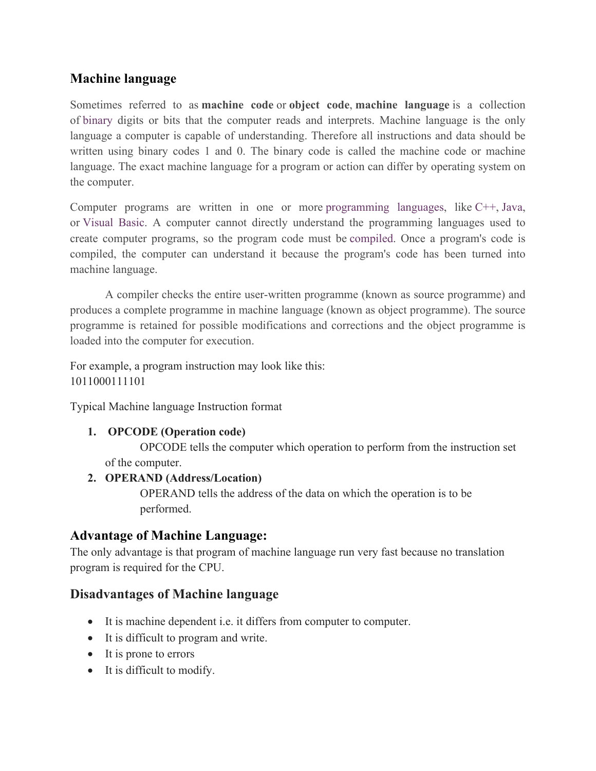### **Machine language**

Sometimes referred to as **machine code** or **object code**, **machine language** is a collection of binary digits or bits that the computer reads and interprets. Machine language is the only language a computer is capable of understanding. Therefore all instructions and data should be written using binary codes 1 and 0. The binary code is called the machine code or machine language. The exact machine language for a program or action can differ by operating system on the computer.

Computer programs are written in one or more programming languages, like C++, Java, or Visual Basic. A computer cannot directly understand the programming languages used to create computer programs, so the program code must be compiled. Once a program's code is compiled, the computer can understand it because the program's code has been turned into machine language.

A compiler checks the entire user-written programme (known as source programme) and produces a complete programme in machine language (known as object programme). The source programme is retained for possible modifications and corrections and the object programme is loaded into the computer for execution.

For example, a program instruction may look like this: 1011000111101

Typical Machine language Instruction format

#### **1. OPCODE (Operation code)**

OPCODE tells the computer which operation to perform from the instruction set of the computer.

#### **2. OPERAND (Address/Location)**

OPERAND tells the address of the data on which the operation is to be performed.

#### **Advantage of Machine Language:**

The only advantage is that program of machine language run very fast because no translation program is required for the CPU.

#### **Disadvantages of Machine language**

- It is machine dependent i.e. it differs from computer to computer.
- It is difficult to program and write.
- It is prone to errors
- It is difficult to modify.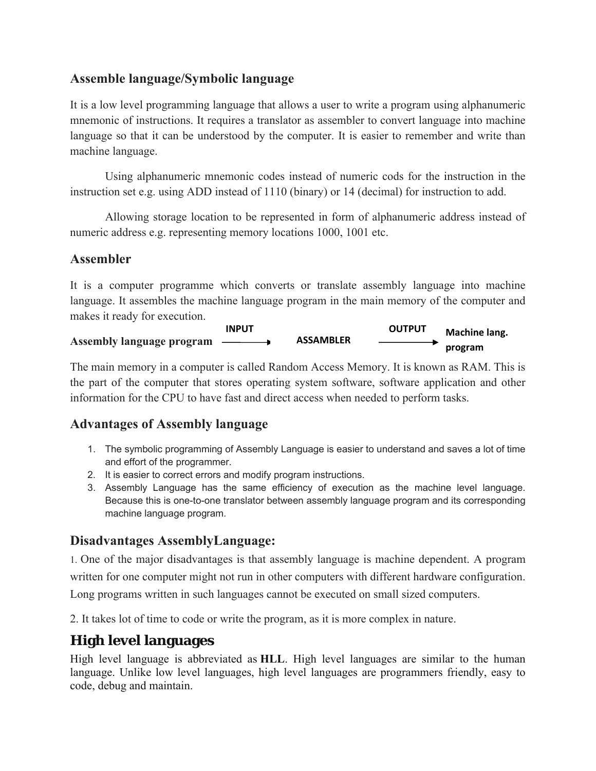#### **Assemble language/Symbolic language**

It is a low level programming language that allows a user to write a program using alphanumeric mnemonic of instructions. It requires a translator as assembler to convert language into machine language so that it can be understood by the computer. It is easier to remember and write than machine language.

 Using alphanumeric mnemonic codes instead of numeric cods for the instruction in the instruction set e.g. using ADD instead of 1110 (binary) or 14 (decimal) for instruction to add.

 Allowing storage location to be represented in form of alphanumeric address instead of numeric address e.g. representing memory locations 1000, 1001 etc.

#### **Assembler**

It is a computer programme which converts or translate assembly language into machine language. It assembles the machine language program in the main memory of the computer and makes it ready for execution.

|                                  | <b>INPUT</b> |                  | <b>OUTPUT</b> | Machine lang. |
|----------------------------------|--------------|------------------|---------------|---------------|
| <b>Assembly language program</b> |              | <b>ASSAMBLER</b> |               | program       |

The main memory in a computer is called Random Access Memory. It is known as RAM. This is the part of the computer that stores operating system software, software application and other information for the CPU to have fast and direct access when needed to perform tasks.

#### **Advantages of Assembly language**

- 1. The symbolic programming of Assembly Language is easier to understand and saves a lot of time and effort of the programmer.
- 2. It is easier to correct errors and modify program instructions.
- 3. Assembly Language has the same efficiency of execution as the machine level language. Because this is one-to-one translator between assembly language program and its corresponding machine language program.

#### **Disadvantages AssemblyLanguage:**

1. One of the major disadvantages is that assembly language is machine dependent. A program written for one computer might not run in other computers with different hardware configuration. Long programs written in such languages cannot be executed on small sized computers.

2. It takes lot of time to code or write the program, as it is more complex in nature.

# **High level languages**

High level language is abbreviated as **HLL**. High level languages are similar to the human language. Unlike low level languages, high level languages are programmers friendly, easy to code, debug and maintain.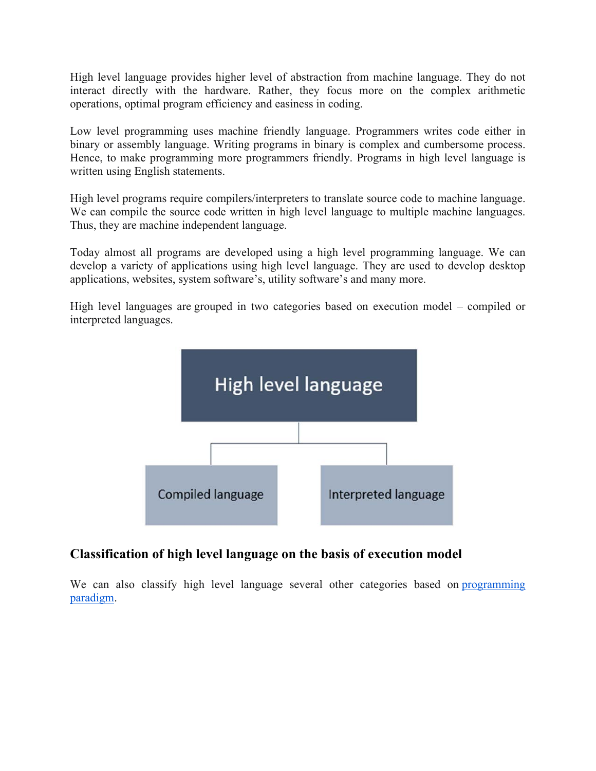High level language provides higher level of abstraction from machine language. They do not interact directly with the hardware. Rather, they focus more on the complex arithmetic operations, optimal program efficiency and easiness in coding.

Low level programming uses machine friendly language. Programmers writes code either in binary or assembly language. Writing programs in binary is complex and cumbersome process. Hence, to make programming more programmers friendly. Programs in high level language is written using English statements.

High level programs require compilers/interpreters to translate source code to machine language. We can compile the source code written in high level language to multiple machine languages. Thus, they are machine independent language.

Today almost all programs are developed using a high level programming language. We can develop a variety of applications using high level language. They are used to develop desktop applications, websites, system software's, utility software's and many more.

High level languages are grouped in two categories based on execution model – compiled or interpreted languages.



#### **Classification of high level language on the basis of execution model**

We can also classify high level language several other categories based on programming paradigm.